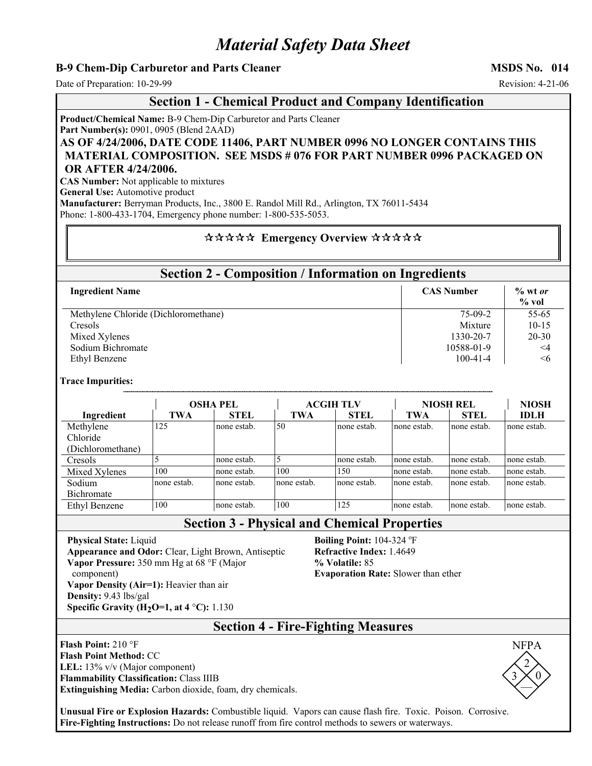# *Material Safety Data Sheet*

## **B-9 Chem-Dip Carburetor and Parts Cleaner MSDS No. 014**  MSDS No. 014

Date of Preparation: 10-29-99 Revision: 4-21-06

### **Section 1 - Chemical Product and Company Identification**

**Product/Chemical Name:** B-9 Chem-Dip Carburetor and Parts Cleaner **Part Number(s):** 0901, 0905 (Blend 2AAD)

**AS OF 4/24/2006, DATE CODE 11406, PART NUMBER 0996 NO LONGER CONTAINS THIS MATERIAL COMPOSITION. SEE MSDS # 076 FOR PART NUMBER 0996 PACKAGED ON OR AFTER 4/24/2006.**

**CAS Number:** Not applicable to mixtures

**General Use:** Automotive product

**Manufacturer:** Berryman Products, Inc., 3800 E. Randol Mill Rd., Arlington, TX 76011-5434 Phone: 1-800-433-1704, Emergency phone number: 1-800-535-5053.

### \*\*\*\*\* Emergency Overview \*\*\*\*\*

## **Section 2 - Composition / Information on Ingredients**

| <b>Ingredient Name</b>               | <b>CAS Number</b> | $\%$ wt or<br>$%$ vol |
|--------------------------------------|-------------------|-----------------------|
| Methylene Chloride (Dichloromethane) | $75-09-2$         | $55-65$               |
| Cresols                              | Mixture           | $10-15$               |
| Mixed Xylenes                        | 1330-20-7         | $20 - 30$             |
| Sodium Bichromate                    | 10588-01-9        | $\leq$ 4              |
| Ethyl Benzene                        | $100 - 41 - 4$    | $\leq 6$              |

#### **Trace Impurities:**

|                   | <b>OSHA PEL</b> |             | <b>ACGIH TLV</b> |             | <b>NIOSH REL</b> |             | <b>NIOSH</b> |
|-------------------|-----------------|-------------|------------------|-------------|------------------|-------------|--------------|
| Ingredient        | TWA             | <b>STEL</b> | <b>TWA</b>       | <b>STEL</b> | <b>TWA</b>       | <b>STEL</b> | <b>IDLH</b>  |
| Methylene         | 125             | none estab. | 50               | none estab. | none estab.      | none estab. | none estab.  |
| Chloride          |                 |             |                  |             |                  |             |              |
| (Dichloromethane) |                 |             |                  |             |                  |             |              |
| Cresols           |                 | none estab. | 5                | none estab. | none estab.      | none estab. | none estab.  |
| Mixed Xylenes     | 100             | none estab. | 100              | 150         | none estab.      | none estab. | none estab.  |
| Sodium            | none estab.     | none estab. | none estab.      | none estab. | none estab.      | none estab. | none estab.  |
| Bichromate        |                 |             |                  |             |                  |             |              |
| Ethyl Benzene     | 100             | none estab. | 100              | 125         | none estab.      | none estab. | none estab.  |

**Section 3 - Physical and Chemical Properties** 

**Physical State:** Liquid **Appearance and Odor:** Clear, Light Brown, Antiseptic **Vapor Pressure:** 350 mm Hg at 68 °F (Major component) **Vapor Density (Air=1):** Heavier than air **Density:** 9.43 lbs/gal **Specific Gravity (H<sub>2</sub>O=1, at 4 °C):** 1.130

**Boiling Point:** 104-324 °F **Refractive Index:** 1.4649 **% Volatile:** 85 **Evaporation Rate:** Slower than ether



**Flash Point:** 210 °F **Flash Point Method:** CC **LEL:** 13% v/v (Major component) **Flammability Classification:** Class IIIB **Extinguishing Media:** Carbon dioxide, foam, dry chemicals.



**Unusual Fire or Explosion Hazards:** Combustible liquid. Vapors can cause flash fire. Toxic. Poison. Corrosive. **Fire-Fighting Instructions:** Do not release runoff from fire control methods to sewers or waterways.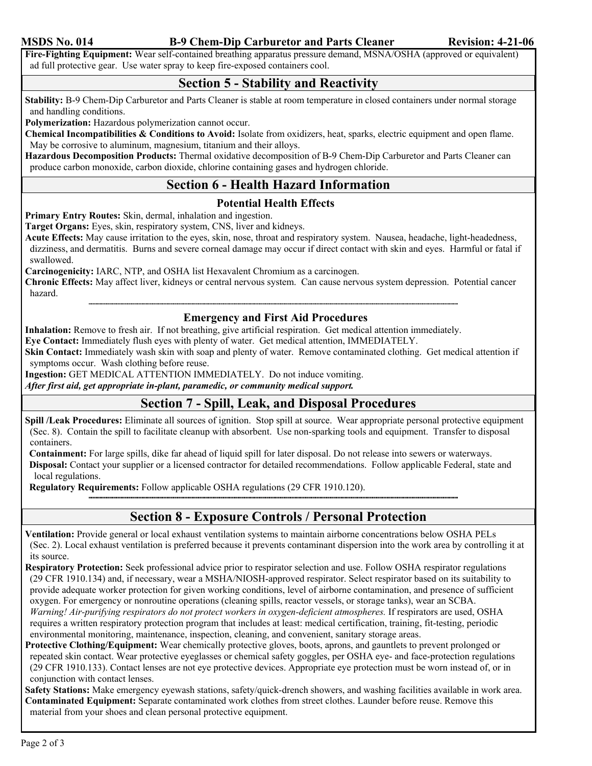### **MSDS No. 014** B-9 Chem-Dip Carburetor and Parts Cleaner Revision: 4-21-06

**Fire-Fighting Equipment:** Wear self-contained breathing apparatus pressure demand, MSNA/OSHA (approved or equivalent) ad full protective gear. Use water spray to keep fire-exposed containers cool.

## **Section 5 - Stability and Reactivity**

**Stability:** B-9 Chem-Dip Carburetor and Parts Cleaner is stable at room temperature in closed containers under normal storage and handling conditions.

**Polymerization:** Hazardous polymerization cannot occur.

**Chemical Incompatibilities & Conditions to Avoid:** Isolate from oxidizers, heat, sparks, electric equipment and open flame. May be corrosive to aluminum, magnesium, titanium and their alloys.

**Hazardous Decomposition Products:** Thermal oxidative decomposition of B-9 Chem-Dip Carburetor and Parts Cleaner can produce carbon monoxide, carbon dioxide, chlorine containing gases and hydrogen chloride.

## **Section 6 - Health Hazard Information**

## **Potential Health Effects**

**Primary Entry Routes:** Skin, dermal, inhalation and ingestion.

**Target Organs:** Eyes, skin, respiratory system, CNS, liver and kidneys.

**Acute Effects:** May cause irritation to the eyes, skin, nose, throat and respiratory system. Nausea, headache, light-headedness, dizziness, and dermatitis. Burns and severe corneal damage may occur if direct contact with skin and eyes. Harmful or fatal if swallowed.

**Carcinogenicity:** IARC, NTP, and OSHA list Hexavalent Chromium as a carcinogen.

**Chronic Effects:** May affect liver, kidneys or central nervous system. Can cause nervous system depression. Potential cancer hazard.

### **Emergency and First Aid Procedures**

**Inhalation:** Remove to fresh air. If not breathing, give artificial respiration. Get medical attention immediately.

**Eye Contact:** Immediately flush eyes with plenty of water. Get medical attention, IMMEDIATELY.

**Skin Contact:** Immediately wash skin with soap and plenty of water. Remove contaminated clothing. Get medical attention if symptoms occur. Wash clothing before reuse.

**Ingestion:** GET MEDICAL ATTENTION IMMEDIATELY. Do not induce vomiting.

*After first aid, get appropriate in-plant, paramedic, or community medical support.* 

# **Section 7 - Spill, Leak, and Disposal Procedures**

**Spill /Leak Procedures:** Eliminate all sources of ignition. Stop spill at source. Wear appropriate personal protective equipment (Sec. 8). Contain the spill to facilitate cleanup with absorbent. Use non-sparking tools and equipment. Transfer to disposal containers.

**Containment:** For large spills, dike far ahead of liquid spill for later disposal. Do not release into sewers or waterways.

**Disposal:** Contact your supplier or a licensed contractor for detailed recommendations. Follow applicable Federal, state and local regulations.

**Regulatory Requirements:** Follow applicable OSHA regulations (29 CFR 1910.120).

## **Section 8 - Exposure Controls / Personal Protection**

**Ventilation:** Provide general or local exhaust ventilation systems to maintain airborne concentrations below OSHA PELs (Sec. 2). Local exhaust ventilation is preferred because it prevents contaminant dispersion into the work area by controlling it at its source.

**Respiratory Protection:** Seek professional advice prior to respirator selection and use. Follow OSHA respirator regulations (29 CFR 1910.134) and, if necessary, wear a MSHA/NIOSH-approved respirator. Select respirator based on its suitability to provide adequate worker protection for given working conditions, level of airborne contamination, and presence of sufficient oxygen. For emergency or nonroutine operations (cleaning spills, reactor vessels, or storage tanks), wear an SCBA. *Warning! Air-purifying respirators do not protect workers in oxygen-deficient atmospheres.* If respirators are used, OSHA requires a written respiratory protection program that includes at least: medical certification, training, fit-testing, periodic environmental monitoring, maintenance, inspection, cleaning, and convenient, sanitary storage areas.

**Protective Clothing/Equipment:** Wear chemically protective gloves, boots, aprons, and gauntlets to prevent prolonged or repeated skin contact. Wear protective eyeglasses or chemical safety goggles, per OSHA eye- and face-protection regulations (29 CFR 1910.133). Contact lenses are not eye protective devices. Appropriate eye protection must be worn instead of, or in conjunction with contact lenses.

**Safety Stations:** Make emergency eyewash stations, safety/quick-drench showers, and washing facilities available in work area. **Contaminated Equipment:** Separate contaminated work clothes from street clothes. Launder before reuse. Remove this material from your shoes and clean personal protective equipment.